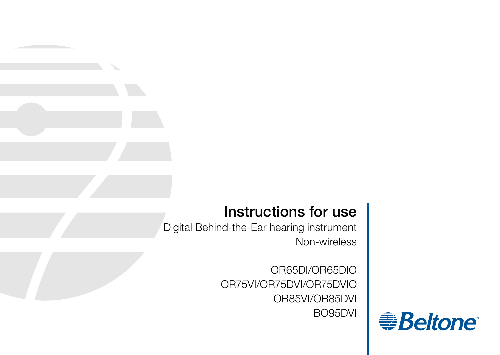# Instructions for use

Digital Behind-the-Ear hearing instrument Non-wireless

> OR65DI/OR65DIO OR75VI/OR75DVI/OR75DVIO OR85VI/OR85DVI BO95DVI

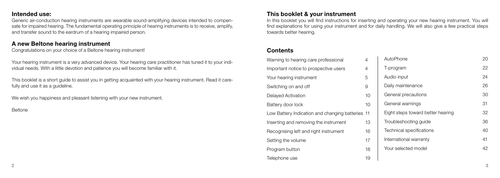## Intended use:

Generic air-conduction hearing instruments are wearable sound-amplifying devices intended to compensate for impaired hearing. The fundamental operating principle of hearing instruments is to receive, amplify, and transfer sound to the eardrum of a hearing impaired person.

## A new Beltone hearing instrument

Congratulations on your choice of a Beltone hearing instrument!

Your hearing instrument is a very advanced device. Your hearing care practitioner has tuned it to your individual needs. With a little devotion and patience you will become familiar with it.

This booklet is a short guide to assist you in getting acquainted with your hearing instrument. Read it carefully and use it as a quideline.

We wish you happiness and pleasant listening with your new instrument.

Beltone

## This booklet & your instrument

In this booklet you will find instructions for inserting and operating your new hearing instrument. You will find explanations for using your instrument and for daily handling. We will also give a few practical steps towards better hearing.

## **Contents**

| Warning to hearing care professional             | 4              | AutoPhone                         | 2C |
|--------------------------------------------------|----------------|-----------------------------------|----|
| Important notice to prospective users            | $\overline{4}$ | T-program                         | 22 |
| Your hearing instrument                          | 5              | Audio input                       | 24 |
| Switching on and off                             | 9              | Daily maintenance                 | 26 |
| Delayed Activation                               | 10             | General precautions               | ЗС |
| Battery door lock                                | 10             | General warnings                  | 31 |
| Low Battery Indication and changing batteries 11 |                | Eight steps toward better hearing | 32 |
| Inserting and removing the instrument            | 13             | Troubleshooting quide             | 36 |
| Recognising left and right instrument            | 16             | Technical specifications          | 4C |
| Setting the volume                               | 17             | International warranty            | 41 |
| Program button                                   | 18             | Your selected model               | 42 |
| Telephone use                                    | 19             |                                   |    |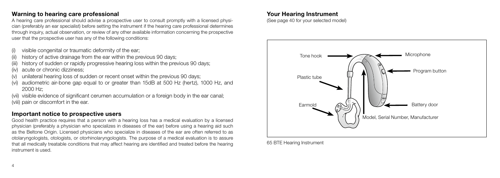## Warning to hearing care professional

A hearing care professional should advise a prospective user to consult promptly with a licensed physician (preferably an ear specialist) before setting the instrument if the hearing care professional determines through inquiry, actual observation, or review of any other available information concerning the prospective user that the prospective user has any of the following conditions:

- visible congenital or traumatic deformity of the ear;
- history of active drainage from the ear within the previous 90 days;
- history of sudden or rapidly progressive hearing loss within the previous 90 days;
- acute or chronic dizziness;
- unilateral hearing loss of sudden or recent onset within the previous 90 days;
- (vi) audiometric air-bone gap equal to or greater than 15dB at 500 Hz (hertz), 1000 Hz, and 2000 Hz;
- (vii) visible evidence of significant cerumen accumulation or a foreign body in the ear canal; (viii) pain or discomfort in the ear.

## Important notice to prospective users

Good health practice requires that a person with a hearing loss has a medical evaluation by a licensed physician (preferably a physician who specializes in diseases of the ear) before using a hearing aid such as the Beltone Origin. Licensed physicians who specialize in diseases of the ear are often referred to as otolaryngologists, otologists, or otorhinolaryngologists. The purpose of a medical evaluation is to assure that all medically treatable conditions that may affect hearing are identified and treated before the hearing instrument is used.

#### Your Hearing Instrument

(See page 40 for your selected model)



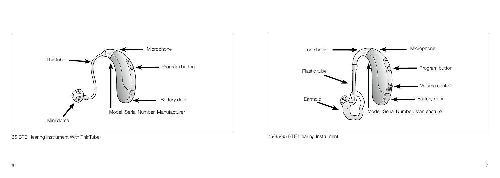

65 BTE Hearing Instrument With ThinTube



75/85/95 BTE Hearing Instrument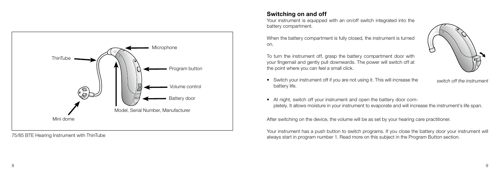

75/85 BTE Hearing Instrument with ThinTube

## Switching on and off

Your instrument is equipped with an on/off switch integrated into the battery compartment.

When the battery compartment is fully closed, the instrument is turned on.

To turn the instrument off, grasp the battery compartment door with your fingernail and gently pull downwards. The power will switch off at the point where you can feel a small click.



• Switch your instrument off if you are not using it. This will increase the battery life.

switch off the instrument

• At night, switch off your instrument and open the battery door completely. It allows moisture in your instrument to evaporate and will increase the instrument's life span.

After switching on the device, the volume will be as set by your hearing care practitioner.

Your instrument has a push button to switch programs. If you close the battery door your instrument will always start in program number 1. Read more on this subject in the Program Button section.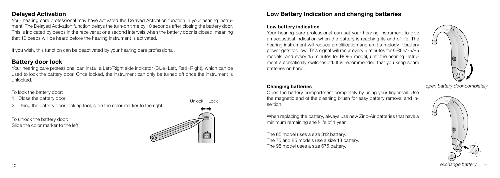## Delayed Activation

Your hearing care professional may have activated the Delayed Activation function in your hearing instrument. The Delayed Activation function delays the turn-on time by 10 seconds after closing the battery door. This is indicated by beeps in the receiver at one second intervals when the battery door is closed, meaning that 10 beeps will be heard before the hearing instrument is activated.

If you wish, this function can be deactivated by your hearing care professional.

## Battery door lock

Your hearing care professional can install a Left/Right side indicator (Blue=Left, Red=Right), which can be used to lock the battery door. Once locked, the instrument can only be turned off once the instrument is unlocked.

To lock the battery door:

1. Close the battery door

2. Using the battery door locking tool, slide the color marker to the right.

To unlock the battery door: Slide the color marker to the left.



Unlock Lock

## Low Battery Indication and changing batteries

#### Low battery indication

Your hearing care professional can set your hearing instrument to give an acoustical indication when the battery is reaching its end of life. The hearing instrument will reduce amplification and emit a melody if battery power gets too low. This signal will recur every 5 minutes for OR65/75/85 models, and every 15 minutes for BO95 model, until the hearing instrument automatically switches off. It is recommended that you keep spare batteries on hand.



#### Changing batteries

Open the battery compartment completely by using your fingernail. Use the magnetic end of the cleaning brush for easy battery removal and insertion.

When replacing the battery, always use new Zinc-Air batteries that have a minimum remaining shelf-life of 1 year.

The 65 model uses a size 312 battery. The 75 and 85 models use a size 13 battery. The 95 model uses a size 675 battery.

open battery door completely

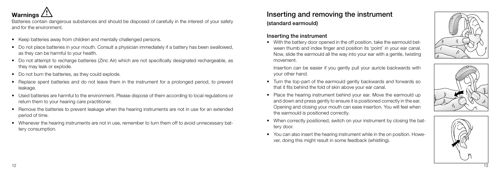

Batteries contain dangerous substances and should be disposed of carefully in the interest of your safety and for the environment.

- Keep batteries away from children and mentally challenged persons.
- Do not place batteries in your mouth. Consult a physician immediately if a battery has been swallowed. as they can be harmful to your health.
- Do not attempt to recharge batteries (Zinc Air) which are not specifically designated rechargeable, as they may leak or explode.
- Do not burn the batteries, as they could explode.
- Replace spent batteries and do not leave them in the instrument for a prolonged period, to prevent leakage.
- Used batteries are harmful to the environment. Please dispose of them according to local regulations or return them to your hearing care practitioner.
- Remove the batteries to prevent leakage when the hearing instruments are not in use for an extended period of time.
- • Whenever the hearing instruments are not in use, remember to turn them off to avoid unnecessary battery consumption.

Inserting and removing the instrument (standard earmould)

#### Inserting the instrument

• With the battery door opened in the off position, take the earmould between thumb and index finger and position its 'point' in your ear canal. Now, slide the earmould all the way into your ear with a gentle, twisting movement.



Insertion can be easier if you gently pull your auricle backwards with your other hand.

- Turn the top-part of the earmould gently backwards and forwards so that it fits behind the fold of skin above your ear canal.
- Place the hearing instrument behind your ear. Move the earmould up and down and press gently to ensure it is positioned correctly in the ear. Opening and closing your mouth can ease insertion. You will feel when the earmould is positioned correctly.
- When correctly positioned, switch on your instrument by closing the battery door.
- You can also insert the hearing instrument while in the on position. However, doing this might result in some feedback (whistling).



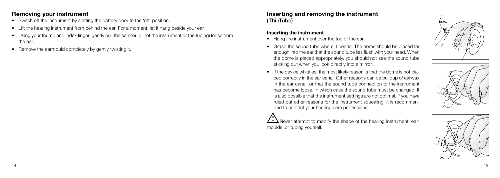## Removing your instrument

- Switch off the instrument by shifting the battery door to the 'off' position.
- Lift the hearing instrument from behind the ear. For a moment, let it hang beside your ear.
- Using your thumb and index finger, gently pull the earmould not the instrument or the tubing) loose from the ear.
- Remove the earmould completely by gently twisting it.

## Inserting and removing the instrument (ThinTube)

#### Inserting the instrument

- Hang the instrument over the top of the ear.
- Grasp the sound tube where it bends. The dome should be placed far enough into the ear that the sound tube lies flush with your head. When the dome is placed appropriately, you should not see the sound tube sticking out when you look directly into a mirror.
- If the device whistles, the most likely reason is that the dome is not placed correctly in the ear canal. Other reasons can be buildup of earwax in the ear canal, or that the sound tube connection to the instrument has become loose, in which case the sound tube must be changed. It is also possible that the instrument settings are not optimal. If you have ruled out other reasons for the instrument squealing, it is recommended to contact your hearing care professional.

 $\sum N$  Never attempt to modify the shape of the hearing instrument, earmoulds, or tubing yourself.





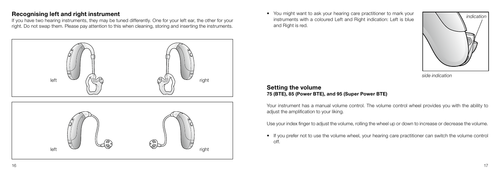## Recognising left and right instrument

If you have two hearing instruments, they may be tuned differently. One for your left ear, the other for your right. Do not swap them. Please pay attention to this when cleaning, storing and inserting the instruments.



• You might want to ask your hearing care practitioner to mark your instruments with a coloured Left and Right indication: Left is blue and Right is red.

![](_page_8_Picture_4.jpeg)

side indication

## Setting the volume 75 (BTE), 85 (Power BTE), and 95 (Super Power BTE)

Your instrument has a manual volume control. The volume control wheel provides you with the ability to adiust the amplification to your liking.

Use your index finger to adjust the volume, rolling the wheel up or down to increase or decrease the volume.

• If you prefer not to use the volume wheel, your hearing care practitioner can switch the volume control off.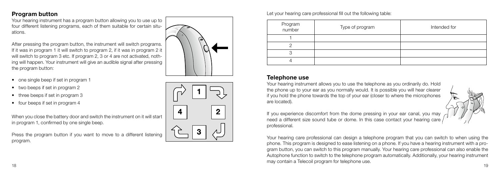Your hearing instrument has a program button allowing you to use up to four different listening programs, each of them suitable for certain situ ations.

After pressing the program button, the instrument will switch programs. If it was in program 1 it will switch to program 2, if it was in program 2 it will switch to program 3 etc. If program 2, 3 or 4 are not activated, noth ing will happen. Your instrument will give an audible signal after pressing the program button:

- one single beep if set in program 1
- two beeps if set in program 2
- three beeps if set in program 3
- four beeps if set in program 4

When you close the battery door and switch the instrument on it will start in program 1, confirmed by one single beep.

Press the program button if you want to move to a different listening program.

![](_page_9_Picture_9.jpeg)

![](_page_9_Figure_10.jpeg)

Let your hearing care professional fill out the following table:

| Program<br>number | Type of program | Intended for |
|-------------------|-----------------|--------------|
|                   |                 |              |
|                   |                 |              |
|                   |                 |              |
|                   |                 |              |

## Telephone use

Your hearing instrument allows you to use the telephone as you ordinarily do. Hold the phone up to your ear as you normally would. It is possible you will hear clearer if you hold the phone towards the top of your ear (closer to where the microphones are located).

If you experience discomfort from the dome pressing in your ear canal, you may need a different size sound tube or dome. In this case contact your hearing care professional.

 $\frac{18}{15}$ Your hearing care professional can design a telephone program that you can switch to when using the phone. This program is designed to ease listening on a phone. If you have a hearing instrument with a pro gram button, you can switch to this program manually. Your hearing care professional can also enable the Autophone function to switch to the telephone program automatically. Additionally, your hearing instrument may contain a Telecoil program for telephone use.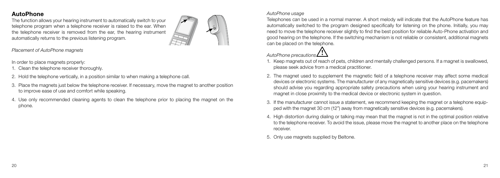## AutoPhone

The function allows your hearing instrument to automatically switch to your telephone program when a telephone receiver is raised to the ear. When the telephone receiver is removed from the ear, the hearing instrument automatically returns to the previous listening program.

![](_page_10_Picture_2.jpeg)

Placement of AutoPhone magnets

In order to place magnets properly:

- 1. Clean the telephone receiver thoroughly.
- 2. Hold the telephone vertically, in a position similar to when making a telephone call.
- 3. Place the magnets just below the telephone receiver. If necessary, move the magnet to another position to improve ease of use and comfort while speaking.
- 4. Use only recommended cleaning agents to clean the telephone prior to placing the magnet on the phone.

#### AutoPhone usage

Telephones can be used in a normal manner. A short melody will indicate that the AutoPhone feature has automatically switched to the program designed specifically for listening on the phone. Initially, you may need to move the telephone receiver slightly to find the best position for reliable Auto-Phone activation and good hearing on the telephone. If the switching mechanism is not reliable or consistent, additional magnets can be placed on the telephone.

![](_page_10_Picture_11.jpeg)

- 1. Keep magnets out of reach of pets, children and mentally challenged persons. If a magnet is swallowed, please seek advice from a medical practitioner.
- 2. The magnet used to supplement the magnetic field of a telephone receiver may affect some medical devices or electronic systems. The manufacturer of any magnetically sensitive devices (e.g. pacemakers) should advise you regarding appropriate safety precautions when using your hearing instrument and magnet in close proximity to the medical device or electronic system in question.
- 3. If the manufacturer cannot issue a statement, we recommend keeping the magnet or a telephone equipped with the magnet 30 cm (12") away from magnetically sensitive devices (e.g. pacemakers).
- 4. High distortion during dialing or talking may mean that the magnet is not in the optimal position relative to the telephone receiver. To avoid the issue, please move the magnet to another place on the telephone receiver.
- 5. Only use magnets supplied by Beltone.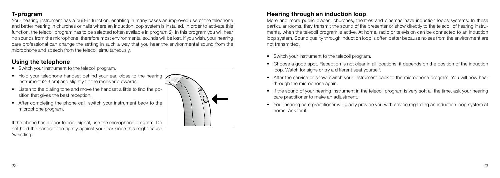## T-program

Your hearing instrument has a built-in function, enabling in many cases an improved use of the telephone and better hearing in churches or halls where an induction loop system is installed. In order to activate this function, the telecoil program has to be selected (often available in program 2). In this program you will hear no sounds from the microphone, therefore most environmental sounds will be lost. If you wish, your hearing care professional can change the setting in such a way that you hear the environmental sound from the microphone and speech from the telecoil simultaneously.

# Using the telephone

- Switch your instrument to the telecoil program.
- Hold your telephone handset behind your ear, close to the hearing instrument (2-3 cm) and slightly tilt the receiver outwards.
- Listen to the dialing tone and move the handset a little to find the position that gives the best reception.
- After completing the phone call, switch your instrument back to the microphone program.

If the phone has a poor telecoil signal, use the microphone program. Do not hold the handset too tightly against your ear since this might cause 'whistling'.

![](_page_11_Picture_8.jpeg)

# Hearing through an induction loop

More and more public places, churches, theatres and cinemas have induction loops systems. In these particular rooms, they transmit the sound of the presenter or show directly to the telecoil of hearing instruments, when the telecoil program is active. At home, radio or television can be connected to an induction loop system. Sound quality through induction loop is often better because noises from the environment are not transmitted.

- Switch your instrument to the telecoil program.
- Choose a good spot. Reception is not clear in all locations; it depends on the position of the induction loop. Watch for signs or try a different seat yourself.
- After the service or show, switch your instrument back to the microphone program. You will now hear through the microphone again.
- If the sound of your hearing instrument in the telecoil program is very soft all the time, ask your hearing care practitioner to make an adjustment.
- Your hearing care practitioner will gladly provide you with advice regarding an induction loop system at home. Ask for it.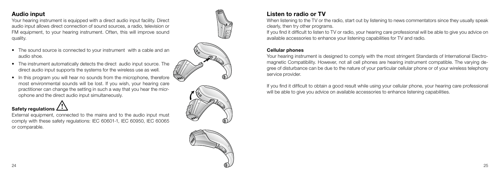## Audio input

Your hearing instrument is equipped with a direct audio input facility. Direct audio input allows direct connection of sound sources, a radio, television or FM equipment, to your hearing instrument. Often, this will improve sound quality.

- The sound source is connected to your instrument with a cable and an audio shoe.
- The instrument automatically detects the direct audio input source. The direct audio input supports the systems for the wireless use as well.
- In this program you will hear no sounds from the microphone, therefore most environmental sounds will be lost. If you wish, your hearing care practitioner can change the setting in such a way that you hear the microphone and the direct audio input simultaneously.

## Safety regulations  $\triangle$

External equipment, connected to the mains and to the audio input must comply with these safety regulations: IEC 60601-1, IEC 60950, IEC 60065 or comparable.

![](_page_12_Picture_7.jpeg)

![](_page_12_Picture_8.jpeg)

# Listen to radio or TV

When listening to the TV or the radio, start out by listening to news commentators since they usually speak clearly, then try other programs.

If you find it difficult to listen to TV or radio, your hearing care professional will be able to give you advice on available accessories to enhance your listening capabilities for TV and radio.

#### Cellular phones

Your hearing instrument is designed to comply with the most stringent Standards of International Electromagnetic Compatibility. However, not all cell phones are hearing instrument compatible. The varying degree of disturbance can be due to the nature of your particular cellular phone or of your wireless telephony service provider.

If you find it difficult to obtain a good result while using your cellular phone, your hearing care professional will be able to give you advice on available accessories to enhance listening capabilities.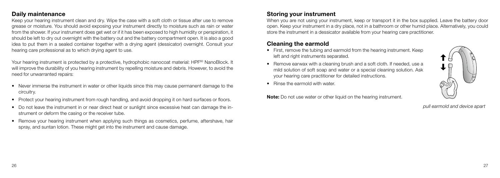## Daily maintenance

Keep your hearing instrument clean and dry. Wipe the case with a soft cloth or tissue after use to remove grease or moisture. You should avoid exposing your instrument directly to moisture such as rain or water from the shower. If your instrument does get wet or if it has been exposed to high humidity or perspiration, it should be left to dry out overnight with the battery out and the battery compartment open. It is also a good idea to put them in a sealed container together with a drying agent (dessicator) overnight. Consult your hearing care professional as to which drying agent to use.

Your hearing instrument is protected by a protective, hydrophobic nanocoat material: HPF<sup>80</sup> NanoBlock. It will improve the durability of you hearing instrument by repelling moisture and debris. However, to avoid the need for unwarranted repairs:

- Never immerse the instrument in water or other liquids since this may cause permanent damage to the circuitry.
- Protect your hearing instrument from rough handling, and avoid dropping it on hard surfaces or floors.
- Do not leave the instrument in or near direct heat or sunlight since excessive heat can damage the instrument or deform the casing or the receiver tube.
- Remove your hearing instrument when applying such things as cosmetics, perfume, aftershave, hair spray, and suntan lotion. These might get into the instrument and cause damage.

## Storing your instrument

When you are not using your instrument, keep or transport it in the box supplied. Leave the battery door open. Keep your instrument in a dry place, not in a bathroom or other humid place. Alternatively, you could store the instrument in a dessicator available from your hearing care practitioner.

## Cleaning the earmold

- First, remove the tubing and earmold from the hearing instrument. Keep left and right instruments separated.
- Remove earwax with a cleaning brush and a soft cloth. If needed, use a mild solution of soft soap and water or a special cleaning solution. Ask your hearing care practitioner for detailed instructions.
- Rinse the earmold with water

Note: Do not use water or other liquid on the hearing instrument.

![](_page_13_Picture_14.jpeg)

pull earmold and device apart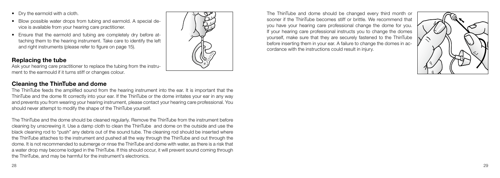- Dry the earmold with a cloth.
- Blow possible water drops from tubing and earmold. A special device is available from your hearing care practitioner.
- Ensure that the earmold and tubing are completely dry before attaching them to the hearing instrument. Take care to identify the left and right instruments (please refer to figure on page 15).

## Replacing the tube

Ask your hearing care practitioner to replace the tubing from the instrument to the earmould if it turns stiff or changes colour.

# Cleaning the ThinTube and dome

The ThinTube feeds the amplified sound from the hearing instrument into the ear. It is important that the ThinTube and the dome fit correctly into your ear. If the ThinTube or the dome irritates your ear in any way and prevents you from wearing your hearing instrument, please contact your hearing care professional. You should never attempt to modify the shape of the ThinTube yourself.

The ThinTube and the dome should be cleaned regularly. Remove the ThinTube from the instrument before cleaning by unscrewing it. Use a damp cloth to clean the ThinTube and dome on the outside and use the black cleaning rod to "push" any debris out of the sound tube. The cleaning rod should be inserted where the ThinTube attaches to the instrument and pushed all the way through the ThinTube and out through the dome. It is not recommended to submerge or rinse the ThinTube and dome with water, as there is a risk that a water drop may become lodged in the ThinTube. If this should occur, it will prevent sound coming through the ThinTube, and may be harmful for the instrument's electronics.

The ThinTube and dome should be changed every third month or sooner if the ThinTube becomes stiff or brittle. We recommend that you have your hearing care professional change the dome for you. If your hearing care professional instructs you to change the domes yourself, make sure that they are securely fastened to the ThinTube before inserting them in your ear. A failure to change the domes in accordance with the instructions could result in injury.

![](_page_14_Picture_9.jpeg)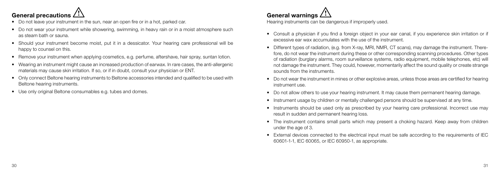![](_page_15_Picture_0.jpeg)

- Do not leave your instrument in the sun, near an open fire or in a hot, parked car.
- Do not wear your instrument while showering, swimming, in heavy rain or in a moist atmosphere such as steam bath or sauna.
- Should your instrument become moist, put it in a dessicator. Your hearing care professional will be happy to counsel on this.
- Remove your instrument when applying cosmetics, e.g. perfume, aftershave, hair spray, suntan lotion.
- Wearing an instrument might cause an increased production of earwax. In rare cases, the anti-allergenic materials may cause skin irritation. If so, or if in doubt, consult your physician or ENT.
- • Only connect Beltone hearing instruments to Beltone accessories intended and qualified to be used with Beltone hearing instruments.
- Use only original Beltone consumables e.g. tubes and domes.

# General warnings  $\triangle$

Hearing instruments can be dangerous if improperly used.

- Consult a physician if you find a foreign object in your ear canal, if you experience skin irritation or if excessive ear wax accumulates with the use of the instrument.
- Different types of radiation, (e.g. from X-ray, MRI, NMR, CT scans), may damage the instrument. Therefore, do not wear the instrument during these or other corresponding scanning procedures. Other types of radiation (burglary alarms, room surveillance systems, radio equipment, mobile telephones, etc) will not damage the instrument. They could, however, momentarily affect the sound quality or create strange sounds from the instruments.
- Do not wear the instrument in mines or other explosive areas, unless those areas are certified for hearing instrument use.
- Do not allow others to use your hearing instrument. It may cause them permanent hearing damage.
- Instrument usage by children or mentally challenged persons should be supervised at any time.
- Instruments should be used only as prescribed by your hearing care professional. Incorrect use may result in sudden and permanent hearing loss.
- The instrument contains small parts which may present a choking hazard. Keep away from children under the age of 3.
- External devices connected to the electrical input must be safe according to the requirements of IEC 60601-1-1, IEC 60065, or IEC 60950-1, as appropriate.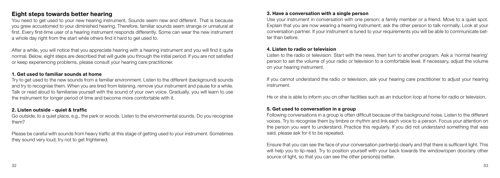## Eight steps towards better hearing

You need to get used to your new hearing instrument. Sounds seem new and different. That is because you grew accustomed to your diminished hearing. Therefore, familiar sounds seem strange or unnatural at first. Every first-time user of a hearing instrument responds differently. Some can wear the new instrument a whole day right from the start while others find it hard to get used to.

After a while, you will notice that you appreciate hearing with a hearing instrument and you will find it quite normal. Below, eight steps are described that will guide you through the initial period. If you are not satisfied or keep experiencing problems, please consult your hearing care practitioner.

#### 1. Get used to familiar sounds at home

Try to get used to the new sounds from a familiar environment. Listen to the different (background) sounds and try to recognise them. When you are tired from listening, remove your instrument and pause for a while. Talk or read aloud to familiarise yourself with the sound of your own voice. Gradually, you will learn to use the instrument for longer period of time and become more comfortable with it.

#### 2. Listen outside - quiet & traffic

Go outside, to a quiet place, e.g., the park or woods. Listen to the environmental sounds. Do you recognise them?

Please be careful with sounds from heavy traffic at this stage of getting used to your instrument. Sometimes they sound very loud; try not to get frightened.

#### 3. Have a conversation with a single person

Use your instrument in conversation with one person; a family member or a friend. Move to a quiet spot. Explain that you are now wearing a hearing instrument; ask the other person to talk normally. Look at your conversation partner. If your instrument is tuned to your requirements you will be able to communicate better than before.

#### 4. Listen to radio or television

Listen to the radio or television. Start with the news, then turn to another program. Ask a 'normal hearing' person to set the volume of your radio or television to a comfortable level. If necessary, adjust the volume on your hearing instrument.

If you cannot understand the radio or television, ask your hearing care practitioner to adjust your hearing instrument.

He or she is able to inform you on other facilities such as an induction loop at home for radio or television.

#### 5. Get used to conversation in a group

Following conversations in a group is often difficult because of the background noise. Listen to the different voices. Try to recognise them by timbre or rhythm and link each voice to a person. Focus your attention on the person you want to understand. Practice this regularly. If you did not understand something that was said, please ask for it to be repeated.

Ensure that you can see the face of your conversation partner(s) clearly and that there is sufficient light. This will help you to lip-read. Try to position yourself with your back towards the window/open door/any other source of light, so that you can see the other person(s) better.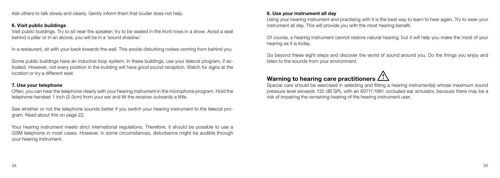Ask others to talk slowly and clearly. Gently inform them that louder does not help.

#### 6. Visit public buildings

Visit public buildings. Try to sit near the speaker; try to be seated in the front rows in a show. Avoid a seat behind a pillar or in an alcove, you will be in a 'sound shadow.'

In a restaurant, sit with your back towards the wall. This avoids disturbing noises coming from behind you.

Some public buildings have an inductive loop system. In these buildings, use your telecoil program, if activated. However, not every position in the building will have good sound reception. Watch for signs at the location or try a different seat.

#### 7. Use your telephone

Often, you can hear the telephone clearly with your hearing instrument in the microphone program. Hold the telephone handset 1 inch (2-3cm) from your ear and tilt the receiver outwards a little.

See whether or not the telephone sounds better if you switch your hearing instrument to the telecoil program. Read about this on page 22.

Your hearing instrument meets strict international regulations. Therefore, it should be possible to use a GSM telephone in most cases. However, in some circumstances, disturbance might be audible through your hearing instrument.

#### 8. Use your instrument all day

Using your hearing instrument and practising with it is the best way to learn to hear again. Try to wear your instrument all day. This will provide you with the most hearing benefit.

Of course, a hearing instrument cannot restore natural hearing, but it will help you make the most of your hearing as it is today.

Go beyond these eight steps and discover the world of sound around you. Do the things you enjoy and listen to the sounds from your environment.

# Warning to hearing care practitioners  $\bigwedge$

Special care should be exercised in selecting and fitting a hearing instrument(s) whose maximum sound pressure level exceeds 132 dB SPL with an 60711:1981 occluded ear simulator, because there may be a risk of impairing the remaining hearing of the hearing instrument user.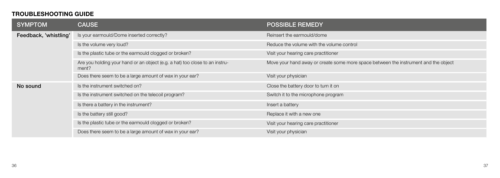# TROUBLESHOOTING GUIDE

| <b>SYMPTOM</b>        | <b>CAUSE</b>                                                                         | <b>POSSIBLE REMEDY</b>                                                              |
|-----------------------|--------------------------------------------------------------------------------------|-------------------------------------------------------------------------------------|
| Feedback, 'whistling' | Is your earmould/Dome inserted correctly?                                            | Reinsert the earmould/dome                                                          |
|                       | Is the volume very loud?                                                             | Reduce the volume with the volume control                                           |
|                       | Is the plastic tube or the earmould clogged or broken?                               | Visit your hearing care practitioner                                                |
|                       | Are you holding your hand or an object (e.g. a hat) too close to an instru-<br>ment? | Move your hand away or create some more space between the instrument and the object |
|                       | Does there seem to be a large amount of wax in your ear?                             | Visit your physician                                                                |
| No sound              | Is the instrument switched on?                                                       | Close the battery door to turn it on                                                |
|                       | Is the instrument switched on the telecoil program?                                  | Switch it to the microphone program                                                 |
|                       | Is there a battery in the instrument?                                                | Insert a battery                                                                    |
|                       | Is the battery still good?                                                           | Replace it with a new one                                                           |
|                       | Is the plastic tube or the earmould clogged or broken?                               | Visit your hearing care practitioner                                                |
|                       | Does there seem to be a large amount of wax in your ear?                             | Visit your physician                                                                |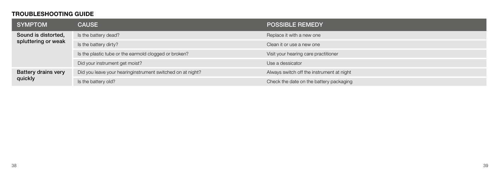# TROUBLESHOOTING GUIDE

| <b>SYMPTOM</b>                             | <b>CAUSE</b>                                               | <b>POSSIBLE REMEDY</b>                    |
|--------------------------------------------|------------------------------------------------------------|-------------------------------------------|
| Sound is distorted,<br>spluttering or weak | Is the battery dead?                                       | Replace it with a new one                 |
|                                            | Is the battery dirty?                                      | Clean it or use a new one                 |
|                                            | Is the plastic tube or the earmold clogged or broken?      | Visit your hearing care practitioner      |
|                                            | Did your instrument get moist?                             | Use a dessicator                          |
| <b>Battery drains very</b><br>quickly      | Did you leave your hearinginstrument switched on at night? | Always switch off the instrument at night |
|                                            | Is the battery old?                                        | Check the date on the battery packaging   |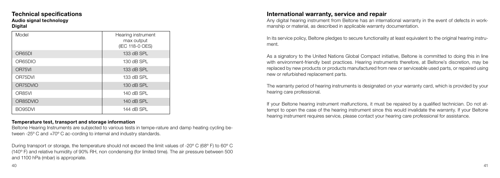#### Technical specifications Audio signal technology **Digital**

| Model    | Hearing instrument<br>max output<br>(IEC 118-0 OES) |
|----------|-----------------------------------------------------|
| OR65DI   | 133 dB SPL                                          |
| OR65DIO  | 130 dB SPL                                          |
| OR75VI   | 133 dB SPL                                          |
| OR75DVI  | 133 dB SPL                                          |
| OR75DVIO | 130 dB SPL                                          |
| OR85VI   | 140 dB SPL                                          |
| OR85DVIO | 140 dB SPL                                          |
| BO95DVI  | 144 dB SPL                                          |

#### Temperature test, transport and storage information

Beltone Hearing Instruments are subjected to various tests in tempe-rature and damp heating cycling between -25º C and +70º C ac-cording to internal and industry standards.

During transport or storage, the temperature should not exceed the limit values of -20° C (68° F) to 60° C (140º F) and relative humidity of 90% RH, non condensing (for limited time). The air pressure between 500 and 1100 hPa (mbar) is appropriate.

## International warranty, service and repair

Any digital hearing instrument from Beltone has an international warranty in the event of defects in workmanship or material, as described in applicable warranty documentation.

In its service policy, Beltone pledges to secure functionality at least equivalent to the original hearing instrument.

As a signatory to the United Nations Global Compact initiative, Beltone is committed to doing this in line with environment-friendly best practices. Hearing instruments therefore, at Beltone's discretion, may be replaced by new products or products manufactured from new or serviceable used parts, or repaired using new or refurbished replacement parts.

The warranty period of hearing instruments is designated on your warranty card, which is provided by your hearing care professional.

If your Beltone hearing instrument malfunctions, it must be repaired by a qualified technician. Do not attempt to open the case of the hearing instrument since this would invalidate the warranty. If your Beltone hearing instrument requires service, please contact your hearing care professional for assistance.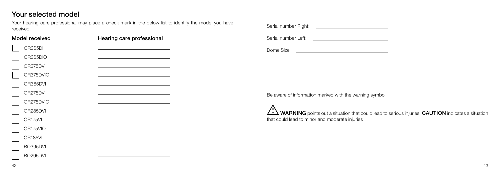# Your selected model

Your hearing care professional may place a check mark in the below list to identify the model you have received. Serial number Right:

| Model received      | Hearing care professional |
|---------------------|---------------------------|
| OR365DI             |                           |
| OR365DIO            |                           |
| OR375DVI            |                           |
| OR375DVIO           |                           |
| OR385DVI            |                           |
| OR275DVI            |                           |
| OR275DVIO           |                           |
| OR285DVI            |                           |
| OR175VI             |                           |
| OR175VIO            |                           |
| OR <sub>185VI</sub> |                           |
| BO395DVI            |                           |
| BO295DVI            |                           |
|                     |                           |

| Serial number Right: |  |
|----------------------|--|
| Serial number Left:  |  |
| Dome Size:           |  |

Be aware of information marked with the warning symbol

WARNING points out a situation that could lead to serious injuries, CAUTION indicates a situation that could lead to minor and moderate injuries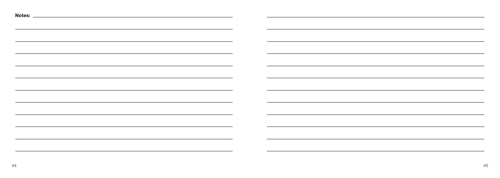|                                                                                                                       | the control of the control of the control of the control of the control of the control of the control of the control of the control of the control of the control of the control of the control of the control of the control |                                                                                                                  |
|-----------------------------------------------------------------------------------------------------------------------|-------------------------------------------------------------------------------------------------------------------------------------------------------------------------------------------------------------------------------|------------------------------------------------------------------------------------------------------------------|
| <u> 1989 - Johann Stoff, amerikansk politiker (d. 1989)</u>                                                           | ,我们也不会有一个人的人,我们也不会有一个人的人,我们也不会有一个人的人。""我们,我们也不会有一个人的人,我们也不会有一个人的人,我们也不会有一个人的人。""我                                                                                                                                             |                                                                                                                  |
|                                                                                                                       |                                                                                                                                                                                                                               |                                                                                                                  |
| <u> 1989 - Johann Stoff, amerikansk politiker (* 1908)</u>                                                            | <u>,这些人都是一个人的人,我们就是一个人的人,我们就是一个人的人,我们就是一个人的人,我们就是一个人的人,我们就是一个人的人,我们就是</u>                                                                                                                                                     |                                                                                                                  |
|                                                                                                                       |                                                                                                                                                                                                                               |                                                                                                                  |
|                                                                                                                       |                                                                                                                                                                                                                               |                                                                                                                  |
|                                                                                                                       |                                                                                                                                                                                                                               |                                                                                                                  |
| ,我们也不会有什么。""我们的人,我们也不会有什么?""我们的人,我们也不会有什么?""我们的人,我们也不会有什么?""我们的人,我们也不会有什么?""我们的人                                      |                                                                                                                                                                                                                               |                                                                                                                  |
|                                                                                                                       |                                                                                                                                                                                                                               |                                                                                                                  |
| ,我们也不会有什么。""我们的人,我们也不会有什么?""我们的人,我们也不会有什么?""我们的人,我们也不会有什么?""我们的人,我们也不会有什么?""我们的人                                      | ,我们也不会有什么。""我们的人,我们也不会有什么?""我们的人,我们也不会有什么?""我们的人,我们也不会有什么?""我们的人,我们也不会有什么?""我们的人                                                                                                                                              |                                                                                                                  |
|                                                                                                                       |                                                                                                                                                                                                                               |                                                                                                                  |
| <u> 1989 - Andrea San Andrea San Andrea San Andrea San Andrea San Andrea San Andrea San Andrea San Andrea San A</u>   | ,我们也不能在这里的时候,我们也不能在这里的时候,我们也不能会在这里的时候,我们也不能会在这里的时候,我们也不能会在这里的时候,我们也不能会在这里的时候,我们也                                                                                                                                              |                                                                                                                  |
|                                                                                                                       |                                                                                                                                                                                                                               |                                                                                                                  |
| ,我们也不会有什么。""我们的人,我们也不会有什么?""我们的人,我们也不会有什么?""我们的人,我们也不会有什么?""我们的人,我们也不会有什么?""我们的人                                      |                                                                                                                                                                                                                               |                                                                                                                  |
| <u> 1989 - Johann Stoff, amerikansk politiker (d. 1989)</u>                                                           | <u> 1989 - Johann Stoff, amerikansk politiker (d. 1989)</u>                                                                                                                                                                   |                                                                                                                  |
|                                                                                                                       |                                                                                                                                                                                                                               |                                                                                                                  |
|                                                                                                                       |                                                                                                                                                                                                                               |                                                                                                                  |
|                                                                                                                       |                                                                                                                                                                                                                               |                                                                                                                  |
| <u> 1989 - Johann Stoff, deutscher Stoff, der Stoff, der Stoff, der Stoff, der Stoff, der Stoff, der Stoff, der S</u> |                                                                                                                                                                                                                               | and the control of the control of the control of the control of the control of the control of the control of the |
|                                                                                                                       |                                                                                                                                                                                                                               |                                                                                                                  |
| <u> 1989 - Johann Stoff, amerikansk politiker (d. 1989)</u>                                                           |                                                                                                                                                                                                                               |                                                                                                                  |
|                                                                                                                       |                                                                                                                                                                                                                               |                                                                                                                  |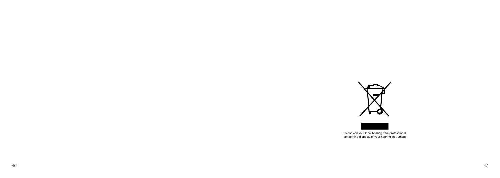![](_page_23_Picture_0.jpeg)

![](_page_23_Picture_1.jpeg)

Please ask your local hearing care professional concerning disposal of your hearing instrument